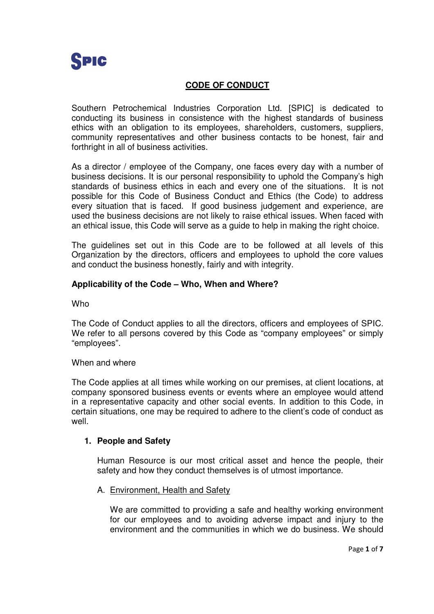

# **CODE OF CONDUCT**

Southern Petrochemical Industries Corporation Ltd. [SPIC] is dedicated to conducting its business in consistence with the highest standards of business ethics with an obligation to its employees, shareholders, customers, suppliers, community representatives and other business contacts to be honest, fair and forthright in all of business activities.

As a director / employee of the Company, one faces every day with a number of business decisions. It is our personal responsibility to uphold the Company's high standards of business ethics in each and every one of the situations. It is not possible for this Code of Business Conduct and Ethics (the Code) to address every situation that is faced. If good business judgement and experience, are used the business decisions are not likely to raise ethical issues. When faced with an ethical issue, this Code will serve as a guide to help in making the right choice.

The guidelines set out in this Code are to be followed at all levels of this Organization by the directors, officers and employees to uphold the core values and conduct the business honestly, fairly and with integrity.

## **Applicability of the Code – Who, When and Where?**

**Who** 

The Code of Conduct applies to all the directors, officers and employees of SPIC. We refer to all persons covered by this Code as "company employees" or simply "employees".

### When and where

The Code applies at all times while working on our premises, at client locations, at company sponsored business events or events where an employee would attend in a representative capacity and other social events. In addition to this Code, in certain situations, one may be required to adhere to the client's code of conduct as well.

### **1. People and Safety**

Human Resource is our most critical asset and hence the people, their safety and how they conduct themselves is of utmost importance.

### A. Environment, Health and Safety

We are committed to providing a safe and healthy working environment for our employees and to avoiding adverse impact and injury to the environment and the communities in which we do business. We should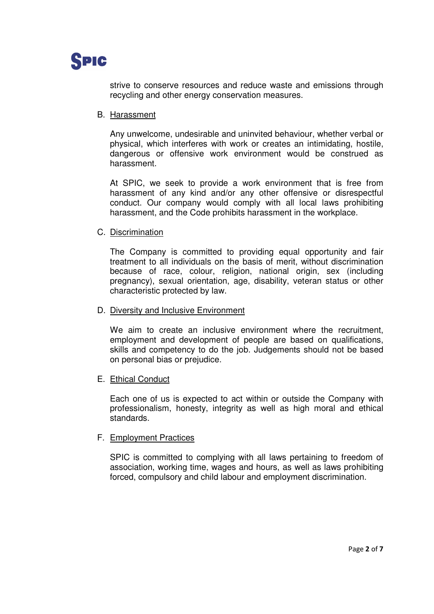

strive to conserve resources and reduce waste and emissions through recycling and other energy conservation measures.

#### B. Harassment

Any unwelcome, undesirable and uninvited behaviour, whether verbal or physical, which interferes with work or creates an intimidating, hostile, dangerous or offensive work environment would be construed as harassment.

At SPIC, we seek to provide a work environment that is free from harassment of any kind and/or any other offensive or disrespectful conduct. Our company would comply with all local laws prohibiting harassment, and the Code prohibits harassment in the workplace.

#### C. Discrimination

The Company is committed to providing equal opportunity and fair treatment to all individuals on the basis of merit, without discrimination because of race, colour, religion, national origin, sex (including pregnancy), sexual orientation, age, disability, veteran status or other characteristic protected by law.

#### D. Diversity and Inclusive Environment

We aim to create an inclusive environment where the recruitment. employment and development of people are based on qualifications, skills and competency to do the job. Judgements should not be based on personal bias or prejudice.

### E. Ethical Conduct

Each one of us is expected to act within or outside the Company with professionalism, honesty, integrity as well as high moral and ethical standards.

### F. Employment Practices

SPIC is committed to complying with all laws pertaining to freedom of association, working time, wages and hours, as well as laws prohibiting forced, compulsory and child labour and employment discrimination.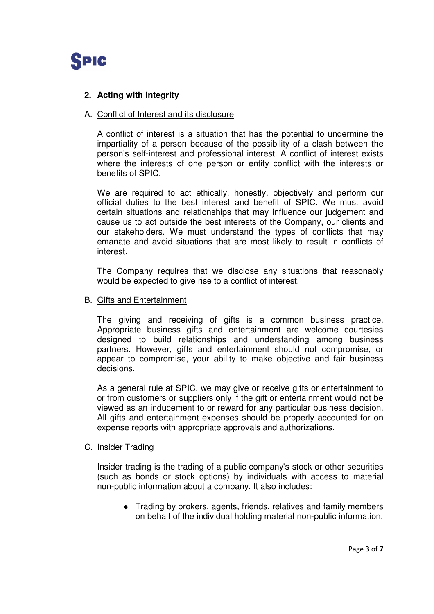

# **2. Acting with Integrity**

### A. Conflict of Interest and its disclosure

A conflict of interest is a situation that has the potential to undermine the impartiality of a person because of the possibility of a clash between the person's self-interest and professional interest. A conflict of interest exists where the interests of one person or entity conflict with the interests or benefits of SPIC.

We are required to act ethically, honestly, objectively and perform our official duties to the best interest and benefit of SPIC. We must avoid certain situations and relationships that may influence our judgement and cause us to act outside the best interests of the Company, our clients and our stakeholders. We must understand the types of conflicts that may emanate and avoid situations that are most likely to result in conflicts of interest.

The Company requires that we disclose any situations that reasonably would be expected to give rise to a conflict of interest.

### B. Gifts and Entertainment

The giving and receiving of gifts is a common business practice. Appropriate business gifts and entertainment are welcome courtesies designed to build relationships and understanding among business partners. However, gifts and entertainment should not compromise, or appear to compromise, your ability to make objective and fair business decisions.

As a general rule at SPIC, we may give or receive gifts or entertainment to or from customers or suppliers only if the gift or entertainment would not be viewed as an inducement to or reward for any particular business decision. All gifts and entertainment expenses should be properly accounted for on expense reports with appropriate approvals and authorizations.

### C. Insider Trading

Insider trading is the trading of a public company's stock or other securities (such as bonds or stock options) by individuals with access to material non-public information about a company. It also includes:

♦ Trading by brokers, agents, friends, relatives and family members on behalf of the individual holding material non-public information.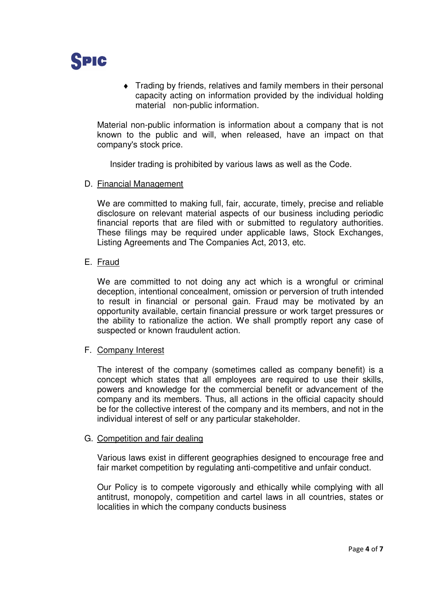

♦ Trading by friends, relatives and family members in their personal capacity acting on information provided by the individual holding material non-public information.

Material non-public information is information about a company that is not known to the public and will, when released, have an impact on that company's stock price.

Insider trading is prohibited by various laws as well as the Code.

### D. Financial Management

We are committed to making full, fair, accurate, timely, precise and reliable disclosure on relevant material aspects of our business including periodic financial reports that are filed with or submitted to regulatory authorities. These filings may be required under applicable laws, Stock Exchanges, Listing Agreements and The Companies Act, 2013, etc.

### E. Fraud

We are committed to not doing any act which is a wrongful or criminal deception, intentional concealment, omission or perversion of truth intended to result in financial or personal gain. Fraud may be motivated by an opportunity available, certain financial pressure or work target pressures or the ability to rationalize the action. We shall promptly report any case of suspected or known fraudulent action.

### F. Company Interest

The interest of the company (sometimes called as company benefit) is a concept which states that all employees are required to use their skills, powers and knowledge for the commercial benefit or advancement of the company and its members. Thus, all actions in the official capacity should be for the collective interest of the company and its members, and not in the individual interest of self or any particular stakeholder.

### G. Competition and fair dealing

Various laws exist in different geographies designed to encourage free and fair market competition by regulating anti-competitive and unfair conduct.

Our Policy is to compete vigorously and ethically while complying with all antitrust, monopoly, competition and cartel laws in all countries, states or localities in which the company conducts business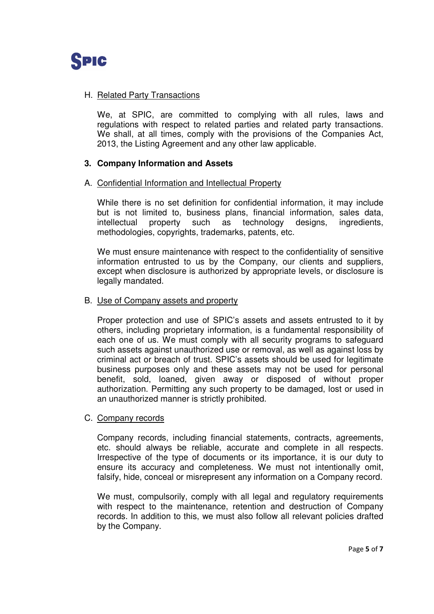

# H. Related Party Transactions

We, at SPIC, are committed to complying with all rules, laws and regulations with respect to related parties and related party transactions. We shall, at all times, comply with the provisions of the Companies Act, 2013, the Listing Agreement and any other law applicable.

## **3. Company Information and Assets**

### A. Confidential Information and Intellectual Property

While there is no set definition for confidential information, it may include but is not limited to, business plans, financial information, sales data, intellectual property such as technology designs, ingredients, methodologies, copyrights, trademarks, patents, etc.

We must ensure maintenance with respect to the confidentiality of sensitive information entrusted to us by the Company, our clients and suppliers, except when disclosure is authorized by appropriate levels, or disclosure is legally mandated.

#### B. Use of Company assets and property

Proper protection and use of SPIC's assets and assets entrusted to it by others, including proprietary information, is a fundamental responsibility of each one of us. We must comply with all security programs to safeguard such assets against unauthorized use or removal, as well as against loss by criminal act or breach of trust. SPIC's assets should be used for legitimate business purposes only and these assets may not be used for personal benefit, sold, loaned, given away or disposed of without proper authorization. Permitting any such property to be damaged, lost or used in an unauthorized manner is strictly prohibited.

### C. Company records

Company records, including financial statements, contracts, agreements, etc. should always be reliable, accurate and complete in all respects. Irrespective of the type of documents or its importance, it is our duty to ensure its accuracy and completeness. We must not intentionally omit, falsify, hide, conceal or misrepresent any information on a Company record.

We must, compulsorily, comply with all legal and regulatory requirements with respect to the maintenance, retention and destruction of Company records. In addition to this, we must also follow all relevant policies drafted by the Company.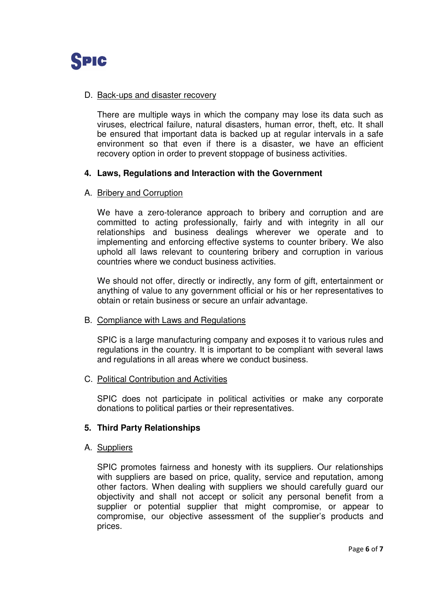

### D. Back-ups and disaster recovery

There are multiple ways in which the company may lose its data such as viruses, electrical failure, natural disasters, human error, theft, etc. It shall be ensured that important data is backed up at regular intervals in a safe environment so that even if there is a disaster, we have an efficient recovery option in order to prevent stoppage of business activities.

## **4. Laws, Regulations and Interaction with the Government**

### A. Bribery and Corruption

We have a zero-tolerance approach to bribery and corruption and are committed to acting professionally, fairly and with integrity in all our relationships and business dealings wherever we operate and to implementing and enforcing effective systems to counter bribery. We also uphold all laws relevant to countering bribery and corruption in various countries where we conduct business activities.

We should not offer, directly or indirectly, any form of gift, entertainment or anything of value to any government official or his or her representatives to obtain or retain business or secure an unfair advantage.

### B. Compliance with Laws and Regulations

SPIC is a large manufacturing company and exposes it to various rules and regulations in the country. It is important to be compliant with several laws and regulations in all areas where we conduct business.

### C. Political Contribution and Activities

SPIC does not participate in political activities or make any corporate donations to political parties or their representatives.

# **5. Third Party Relationships**

### A. Suppliers

SPIC promotes fairness and honesty with its suppliers. Our relationships with suppliers are based on price, quality, service and reputation, among other factors. When dealing with suppliers we should carefully guard our objectivity and shall not accept or solicit any personal benefit from a supplier or potential supplier that might compromise, or appear to compromise, our objective assessment of the supplier's products and prices.